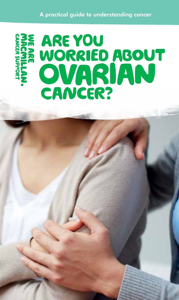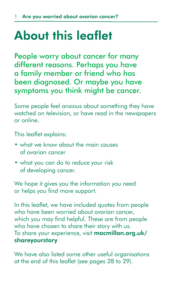# About this leaflet

People worry about cancer for many different reasons. Perhaps you have a family member or friend who has been diagnosed. Or maybe you have symptoms you think might be cancer.

Some people feel anxious about something they have watched on television, or have read in the newspapers or online.

This leaflet explains:

- what we know about the main causes of ovarian cancer
- what you can do to reduce your risk of developing cancer.

We hope it gives you the information you need or helps you find more support.

In this leaflet, we have included quotes from people who have been worried about ovarian cancer, which you may find helpful. These are from people who have chosen to share their story with us. To share your experience, visit macmillan.org.uk/ shareyourstory

We have also listed some other useful organisations at the end of this leaflet (see pages 28 to 29).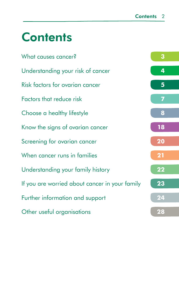## **Contents**

| What causes cancer?                            | 3  |
|------------------------------------------------|----|
| Understanding your risk of cancer              | 4  |
| Risk factors for ovarian cancer                | 5  |
| Factors that reduce risk                       | 7  |
| Choose a healthy lifestyle                     | 8  |
| Know the signs of ovarian cancer               | 18 |
| Screening for ovarian cancer                   | 20 |
| When cancer runs in families                   | 21 |
| Understanding your family history              | 22 |
| If you are worried about cancer in your family | 23 |
| Further information and support                | 24 |
| Other useful organisations                     | 28 |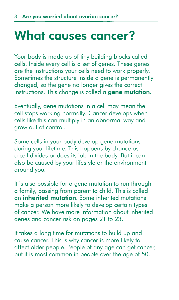# What causes cancer?

Your body is made up of tiny building blocks called cells. Inside every cell is a set of genes. These genes are the instructions your cells need to work properly. Sometimes the structure inside a gene is permanently changed, so the gene no longer gives the correct instructions. This change is called a **gene mutation**.

Eventually, gene mutations in a cell may mean the cell stops working normally. Cancer develops when cells like this can multiply in an abnormal way and grow out of control.

Some cells in your body develop gene mutations during your lifetime. This happens by chance as a cell divides or does its job in the body. But it can also be caused by your lifestyle or the environment around you.

It is also possible for a gene mutation to run through a family, passing from parent to child. This is called an inherited mutation. Some inherited mutations make a person more likely to develop certain types of cancer. We have more information about inherited genes and cancer risk on pages 21 to 23.

It takes a long time for mutations to build up and cause cancer. This is why cancer is more likely to affect older people. People of any age can get cancer, but it is most common in people over the age of 50.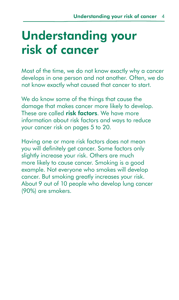# Understanding your risk of cancer

Most of the time, we do not know exactly why a cancer develops in one person and not another. Often, we do not know exactly what caused that cancer to start.

We do know some of the things that cause the damage that makes cancer more likely to develop. These are called risk factors. We have more information about risk factors and ways to reduce your cancer risk on pages 5 to 20.

Having one or more risk factors does not mean you will definitely get cancer. Some factors only slightly increase your risk. Others are much more likely to cause cancer. Smoking is a good example. Not everyone who smokes will develop cancer. But smoking greatly increases your risk. About 9 out of 10 people who develop lung cancer (90%) are smokers.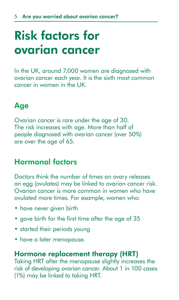# Risk factors for ovarian cancer

In the UK, around 7,000 women are diagnosed with ovarian cancer each year. It is the sixth most common cancer in women in the UK.

## Age

Ovarian cancer is rare under the age of 30. The risk increases with age. More than half of people diagnosed with ovarian cancer (over 50%) are over the age of 65.

## Hormonal factors

Doctors think the number of times an ovary releases an egg (ovulates) may be linked to ovarian cancer risk. Ovarian cancer is more common in women who have ovulated more times. For example, women who:

- have never given birth
- gave birth for the first time after the age of 35
- started their periods young
- have a later menopause.

### Hormone replacement therapy (HRT)

Taking HRT after the menopause slightly increases the risk of developing ovarian cancer. About 1 in 100 cases (1%) may be linked to taking HRT.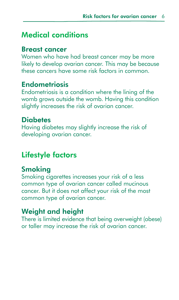## Medical conditions

#### Breast cancer

Women who have had breast cancer may be more likely to develop ovarian cancer. This may be because these cancers have some risk factors in common.

### Endometriosis

Endometriosis is a condition where the lining of the womb grows outside the womb. Having this condition slightly increases the risk of ovarian cancer.

### **Diabetes**

Having diabetes may slightly increase the risk of developing ovarian cancer.

## Lifestyle factors

### Smoking

Smoking cigarettes increases your risk of a less common type of ovarian cancer called mucinous cancer. But it does not affect your risk of the most common type of ovarian cancer.

### Weight and height

There is limited evidence that being overweight (obese) or taller may increase the risk of ovarian cancer.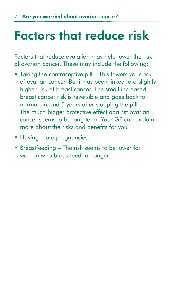# Factors that reduce risk

Factors that reduce ovulation may help lower the risk of ovarian cancer. These may include the following:

- Taking the contraceptive pill This lowers your risk of ovarian cancer. But it has been linked to a slightly higher risk of breast cancer. The small increased breast cancer risk is reversible and goes back to normal around 5 years after stopping the pill. The much bigger protective effect against ovarian cancer seems to be long term. Your GP can explain more about the risks and benefits for you.
- Having more pregnancies.
- Breastfeeding The risk seems to be lower for women who breastfeed for longer.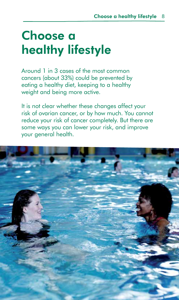# Choose a healthy lifestyle

Around 1 in 3 cases of the most common cancers (about 33%) could be prevented by eating a healthy diet, keeping to a healthy weight and being more active.

It is not clear whether these changes affect your risk of ovarian cancer, or by how much. You cannot reduce your risk of cancer completely. But there are some ways you can lower your risk, and improve your general health.

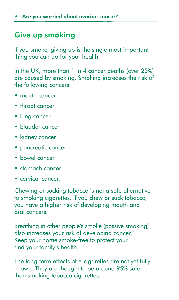## Give up smoking

If you smoke, giving up is the single most important thing you can do for your health.

In the UK, more than 1 in 4 cancer deaths (over 25%) are caused by smoking. Smoking increases the risk of the following cancers:

- mouth cancer
- throat cancer
- lung cancer
- bladder cancer
- kidney cancer
- pancreatic cancer
- bowel cancer
- stomach cancer
- cervical cancer.

Chewing or sucking tobacco is not a safe alternative to smoking cigarettes. If you chew or suck tobacco, you have a higher risk of developing mouth and oral cancers.

Breathing in other people's smoke (passive smoking) also increases your risk of developing cancer. Keep your home smoke-free to protect your and your family's health.

The long-term effects of e-cigarettes are not yet fully known. They are thought to be around 95% safer than smoking tobacco cigarettes.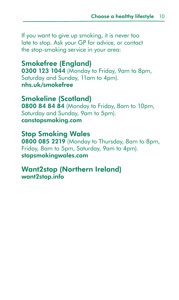If you want to give up smoking, it is never too late to stop. Ask your GP for advice, or contact the stop-smoking service in your area:

#### Smokefree (England)

0300 123 1044 (Monday to Friday, 9am to 8pm, Saturday and Sunday, 11am to 4pm). nhs.uk/smokefree

#### Smokeline (Scotland)

0800 84 84 84 (Monday to Friday, 8am to 10pm, Saturday and Sunday, 9am to 5pm). canstopsmoking.com

#### Stop Smoking Wales

0800 085 2219 (Monday to Thursday, 8am to 8pm, Friday, 8am to 5pm, Saturday, 9am to 4pm). stopsmokingwales.com

#### Want2stop (Northern Ireland) want2stop.info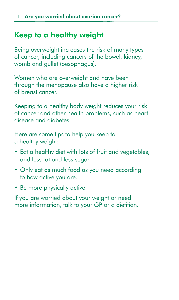### Keep to a healthy weight

Being overweight increases the risk of many types of cancer, including cancers of the bowel, kidney, womb and gullet (oesophagus).

Women who are overweight and have been through the menopause also have a higher risk of breast cancer.

Keeping to a healthy body weight reduces your risk of cancer and other health problems, such as heart disease and diabetes.

Here are some tips to help you keep to a healthy weight:

- Eat a healthy diet with lots of fruit and vegetables, and less fat and less sugar.
- Only eat as much food as you need according to how active you are.
- Be more physically active.

If you are worried about your weight or need more information, talk to your GP or a dietitian.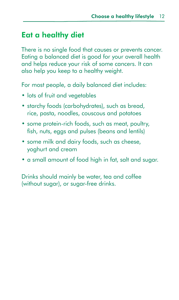### Eat a healthy diet

There is no single food that causes or prevents cancer. Eating a balanced diet is good for your overall health and helps reduce your risk of some cancers. It can also help you keep to a healthy weight.

For most people, a daily balanced diet includes:

- lots of fruit and vegetables
- starchy foods (carbohydrates), such as bread, rice, pasta, noodles, couscous and potatoes
- some protein-rich foods, such as meat, poultry, fish, nuts, eggs and pulses (beans and lentils)
- some milk and dairy foods, such as cheese, yoghurt and cream
- a small amount of food high in fat, salt and sugar.

Drinks should mainly be water, tea and coffee (without sugar), or sugar-free drinks.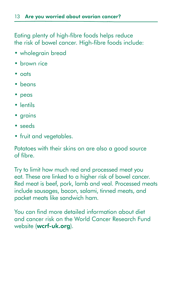Eating plenty of high-fibre foods helps reduce the risk of bowel cancer. High-fibre foods include:

- wholegrain bread
- brown rice
- oats
- beans
- peas
- lentils
- grains
- seeds
- fruit and vegetables.

Potatoes with their skins on are also a good source of fibre.

Try to limit how much red and processed meat you eat. These are linked to a higher risk of bowel cancer. Red meat is beef, pork, lamb and veal. Processed meats include sausages, bacon, salami, tinned meats, and packet meats like sandwich ham.

You can find more detailed information about diet and cancer risk on the World Cancer Research Fund website (wcrf-uk.org).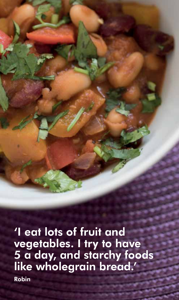'I eat lots of fruit and vegetables. I try to have 5 a day, and starchy foods like wholegrain bread.' Robin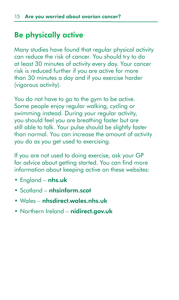## Be physically active

Many studies have found that regular physical activity can reduce the risk of cancer. You should try to do at least 30 minutes of activity every day. Your cancer risk is reduced further if you are active for more than 30 minutes a day and if you exercise harder (vigorous activity).

You do not have to go to the gym to be active. Some people enjoy regular walking, cycling or swimming instead. During your regular activity, you should feel you are breathing faster but are still able to talk. Your pulse should be slightly faster than normal. You can increase the amount of activity you do as you get used to exercising.

If you are not used to doing exercise, ask your GP for advice about getting started. You can find more information about keeping active on these websites:

- England nhs.uk
- Scotland nhsinform.scot
- Wales nhsdirect.wales.nhs.uk
- Northern Ireland nidirect.gov.uk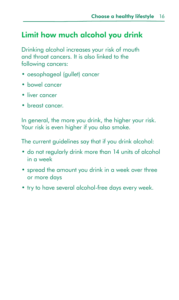## Limit how much alcohol you drink

Drinking alcohol increases your risk of mouth and throat cancers. It is also linked to the following cancers:

- oesophageal (gullet) cancer
- bowel cancer
- liver cancer
- breast cancer.

In general, the more you drink, the higher your risk. Your risk is even higher if you also smoke.

The current guidelines say that if you drink alcohol:

- do not regularly drink more than 14 units of alcohol in a week
- spread the amount you drink in a week over three or more days
- try to have several alcohol-free days every week.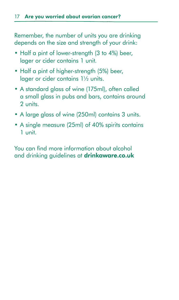Remember, the number of units you are drinking depends on the size and strength of your drink:

- Half a pint of lower-strength (3 to 4%) beer, lager or cider contains 1 unit.
- Half a pint of higher-strength (5%) beer, lager or cider contains 1½ units.
- A standard glass of wine (175ml), often called a small glass in pubs and bars, contains around 2 units.
- A large glass of wine (250ml) contains 3 units.
- A single measure (25ml) of 40% spirits contains 1 unit.

You can find more information about alcohol and drinking guidelines at drinkaware.co.uk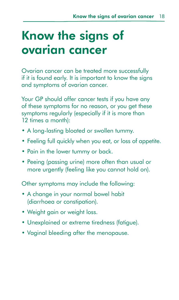# Know the signs of ovarian cancer

Ovarian cancer can be treated more successfully if it is found early. It is important to know the signs and symptoms of ovarian cancer.

Your GP should offer cancer tests if you have any of these symptoms for no reason, or you get these symptoms regularly (especially if it is more than 12 times a month):

- A long-lasting bloated or swollen tummy.
- Feeling full quickly when you eat, or loss of appetite.
- Pain in the lower tummy or back.
- Peeing (passing urine) more often than usual or more urgently (feeling like you cannot hold on).

Other symptoms may include the following:

- A change in your normal bowel habit (diarrhoea or constipation).
- Weight gain or weight loss.
- Unexplained or extreme tiredness (fatigue).
- Vaginal bleeding after the menopause.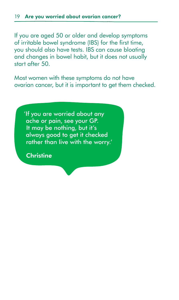If you are aged 50 or older and develop symptoms of irritable bowel syndrome (IBS) for the first time, you should also have tests. IBS can cause bloating and changes in bowel habit, but it does not usually start after 50.

Most women with these symptoms do not have ovarian cancer, but it is important to get them checked.

'If you are worried about any ache or pain, see your GP. It may be nothing, but it's always good to get it checked rather than live with the worry.'

**Christine**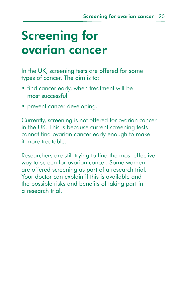# Screening for ovarian cancer

In the UK, screening tests are offered for some types of cancer. The aim is to:

- find cancer early, when treatment will be most successful
- prevent cancer developing.

Currently, screening is not offered for ovarian cancer in the UK. This is because current screening tests cannot find ovarian cancer early enough to make it more treatable.

Researchers are still trying to find the most effective way to screen for ovarian cancer. Some women are offered screening as part of a research trial. Your doctor can explain if this is available and the possible risks and benefits of taking part in a research trial.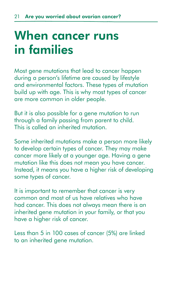## When cancer runs in families

Most gene mutations that lead to cancer happen during a person's lifetime are caused by lifestyle and environmental factors. These types of mutation build up with age. This is why most types of cancer are more common in older people.

But it is also possible for a gene mutation to run through a family passing from parent to child. This is called an inherited mutation.

Some inherited mutations make a person more likely to develop certain types of cancer. They may make cancer more likely at a younger age. Having a gene mutation like this does not mean you have cancer. Instead, it means you have a higher risk of developing some types of cancer.

It is important to remember that cancer is very common and most of us have relatives who have had cancer. This does not always mean there is an inherited gene mutation in your family, or that you have a higher risk of cancer.

Less than 5 in 100 cases of cancer (5%) are linked to an inherited gene mutation.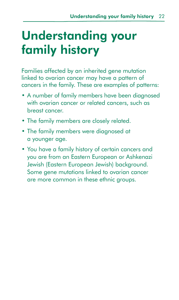# Understanding your family history

Families affected by an inherited gene mutation linked to ovarian cancer may have a pattern of cancers in the family. These are examples of patterns:

- A number of family members have been diagnosed with ovarian cancer or related cancers, such as breast cancer.
- The family members are closely related.
- The family members were diagnosed at a younger age.
- You have a family history of certain cancers and you are from an Eastern European or Ashkenazi Jewish (Eastern European Jewish) background. Some gene mutations linked to ovarian cancer are more common in these ethnic groups.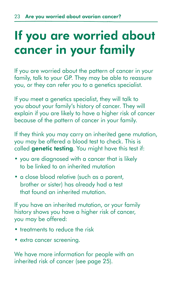# If you are worried about cancer in your family

If you are worried about the pattern of cancer in your family, talk to your GP. They may be able to reassure you, or they can refer you to a genetics specialist.

If you meet a genetics specialist, they will talk to you about your family's history of cancer. They will explain if you are likely to have a higher risk of cancer because of the pattern of cancer in your family.

If they think you may carry an inherited gene mutation, you may be offered a blood test to check. This is called **genetic testing**. You might have this test if:

- you are diagnosed with a cancer that is likely to be linked to an inherited mutation
- a close blood relative (such as a parent, brother or sister) has already had a test that found an inherited mutation.

If you have an inherited mutation, or your family history shows you have a higher risk of cancer, you may be offered:

- treatments to reduce the risk
- extra cancer screening.

We have more information for people with an inherited risk of cancer (see page 25).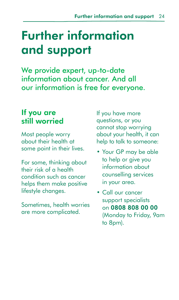# Further information and support

We provide expert, up-to-date information about cancer. And all our information is free for everyone.

## If you are still worried

Most people worry about their health at some point in their lives.

For some, thinking about their risk of a health condition such as cancer helps them make positive lifestyle changes.

Sometimes, health worries are more complicated.

If you have more questions, or you cannot stop worrying about your health, it can help to talk to someone:

- Your GP may be able to help or give you information about counselling services in your area.
- Call our cancer support specialists on 0808 808 00 00 (Monday to Friday, 9am to 8pm).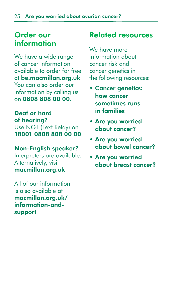### Order our information

We have a wide range of cancer information available to order for free at be.macmillan.org.uk You can also order our information by calling us on 0808 808 00 00.

Deaf or hard of hearing? Use NGT (Text Relay) on 18001 0808 808 00 00

#### Non-English speaker?

Interpreters are available. Alternatively, visit macmillan.org.uk

All of our information is also available at macmillan.org.uk/ information-andsupport

### Related resources

We have more information about cancer risk and cancer genetics in the following resources:

- Cancer genetics: how cancer sometimes runs in families
- Are you worried about cancer?
- Are you worried about bowel cancer?
- Are you worried about breast cancer?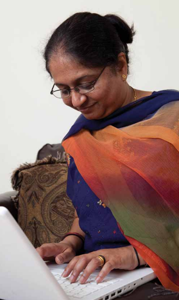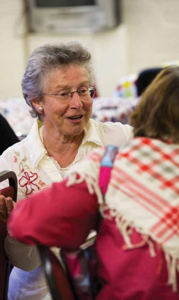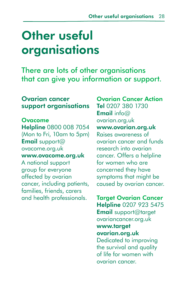# Other useful organisations

There are lots of other organisations that can give you information or support.

#### Ovarian cancer support organisations

#### Ovacome

Helpline 0800 008 7054 (Mon to Fri, 10am to 5pm) Email support@ ovacome.org.uk www.ovacome.org.uk A national support group for everyone affected by ovarian cancer, including patients, families, friends, carers and health professionals.

Ovarian Cancer Action Tel 0207 380 1730 **Email** info $@$ ovarian.org.uk www.ovarian.org.uk Raises awareness of ovarian cancer and funds research into ovarian cancer. Offers a helpline for women who are concerned they have symptoms that might be caused by ovarian cancer.

Target Ovarian Cancer Helpline 0207 923 5475 Email support@target ovariancancer.org.uk www.target ovarian.org.uk Dedicated to improving the survival and quality

of life for women with ovarian cancer.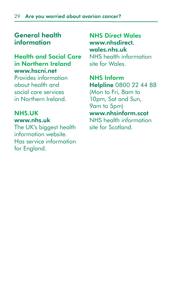#### General health information

#### Health and Social Care in Northern Ireland www.hscni.net

Provides information about health and social care services in Northern Ireland.

## NHS.UK

www.nhs.uk The UK's biggest health information website. Has service information for England.

NHS Direct Wales www.nhsdirect. wales.nhs.uk NHS health information site for Wales.

NHS Inform Helpline 0800 22 44 88 (Mon to Fri, 8am to 10pm, Sat and Sun, 9am to 5pm) www.nhsinform.scot NHS health information site for Scotland.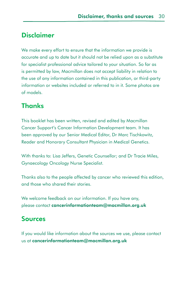### Disclaimer

We make every effort to ensure that the information we provide is accurate and up to date but it should not be relied upon as a substitute for specialist professional advice tailored to your situation. So far as is permitted by law, Macmillan does not accept liability in relation to the use of any information contained in this publication, or third-party information or websites included or referred to in it. Some photos are of models.

### **Thanks**

This booklet has been written, revised and edited by Macmillan Cancer Support's Cancer Information Development team. It has been approved by our Senior Medical Editor, Dr Marc Tischkowitz, Reader and Honorary Consultant Physician in Medical Genetics.

With thanks to: Lisa Jeffers, Genetic Counsellor; and Dr Tracie Miles, Gynaecology Oncology Nurse Specialist.

Thanks also to the people affected by cancer who reviewed this edition, and those who shared their stories.

We welcome feedback on our information. If you have any, please contact cancerinformationteam@macmillan.org.uk

### Sources

If you would like information about the sources we use, please contact us at cancerinformationteam@macmillan.org.uk